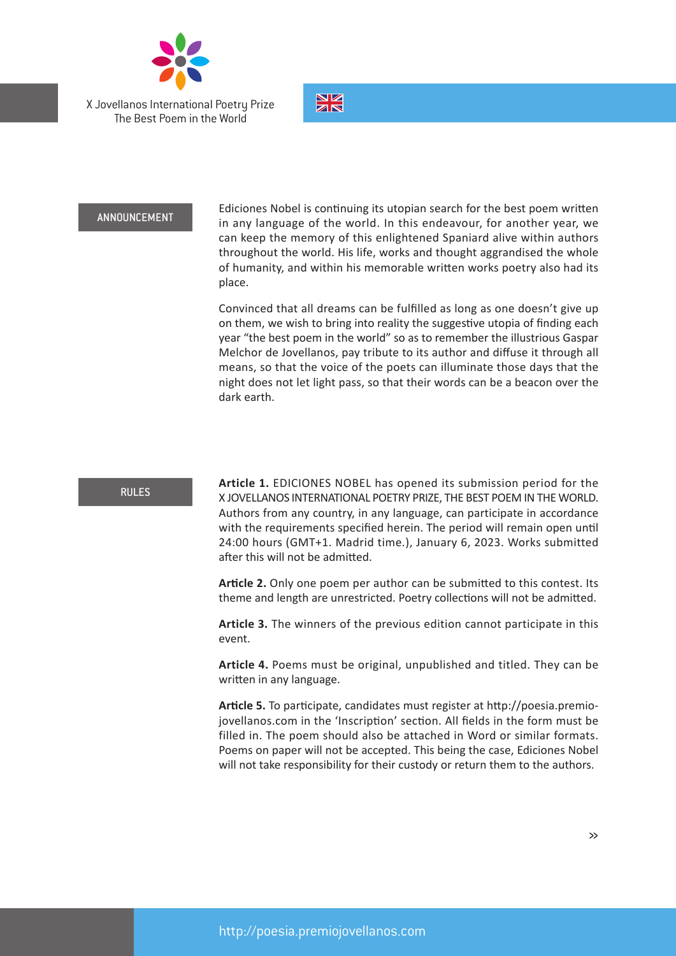

X Jovellanos International Poetry Prize The Best Poem in the World



## ANNOUNCEMENT

Ediciones Nobel is continuing its utopian search for the best poem written in any language of the world. In this endeavour, for another year, we can keep the memory of this enlightened Spaniard alive within authors throughout the world. His life, works and thought aggrandised the whole of humanity, and within his memorable written works poetry also had its place.

Convinced that all dreams can be fulfilled as long as one doesn't give up on them, we wish to bring into reality the suggestive utopia of finding each year "the best poem in the world" so as to remember the illustrious Gaspar Melchor de Jovellanos, pay tribute to its author and diffuse it through all means, so that the voice of the poets can illuminate those days that the night does not let light pass, so that their words can be a beacon over the dark earth.

## RULES

**Article 1.** EDICIONES NOBEL has opened its submission period for the X JOVELLANOS INTERNATIONAL POETRY PRIZE, THE BEST POEM IN THE WORLD. Authors from any country, in any language, can participate in accordance with the requirements specified herein. The period will remain open until 24:00 hours (GMT+1. Madrid time.), January 6, 2023. Works submitted after this will not be admitted.

**Article 2.** Only one poem per author can be submitted to this contest. Its theme and length are unrestricted. Poetry collections will not be admitted.

**Article 3.** The winners of the previous edition cannot participate in this event.

**Article 4.** Poems must be original, unpublished and titled. They can be written in any language.

**Article 5.** To participate, candidates must register at http://poesia.premiojovellanos.com in the 'Inscription' section. All fields in the form must be filled in. The poem should also be attached in Word or similar formats. Poems on paper will not be accepted. This being the case, Ediciones Nobel will not take responsibility for their custody or return them to the authors.